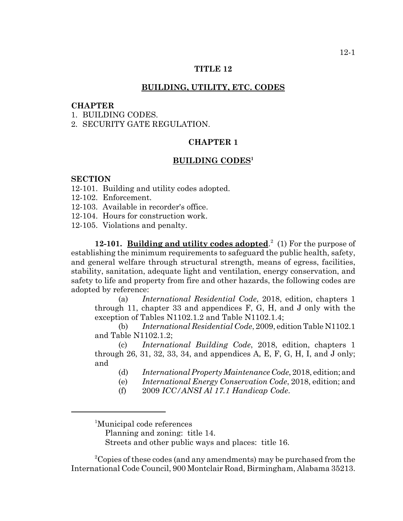## **TITLE 12**

## **BUILDING, UTILITY, ETC. CODES**

### **CHAPTER**

1. BUILDING CODES.

2. SECURITY GATE REGULATION.

# **CHAPTER 1**

# **BUILDING CODES1**

#### **SECTION**

- 12-101. Building and utility codes adopted.
- 12-102. Enforcement.
- 12-103. Available in recorder's office.
- 12-104. Hours for construction work.
- 12-105. Violations and penalty.

**12-101.** Building and utility codes adopted.<sup>2</sup> (1) For the purpose of establishing the minimum requirements to safeguard the public health, safety, and general welfare through structural strength, means of egress, facilities, stability, sanitation, adequate light and ventilation, energy conservation, and safety to life and property from fire and other hazards, the following codes are adopted by reference:

(a) *International Residential Code*, 2018, edition, chapters 1 through 11, chapter 33 and appendices F, G, H, and J only with the exception of Tables N1102.1.2 and Table N1102.1.4;

(b) *International Residential Code*, 2009, edition Table N1102.1 and Table N1102.1.2;

(c) *International Building Code*, 2018, edition, chapters 1 through 26, 31, 32, 33, 34, and appendices A, E, F, G, H, I, and J only; and

- (d) *International Property Maintenance Code*, 2018, edition; and
- (e) *International Energy Conservation Code*, 2018, edition; and
- (f) 2009 *ICC/ANSI Al 17.1 Handicap Code*.

1 Municipal code references

Planning and zoning: title 14.

Streets and other public ways and places: title 16.

<sup>2</sup>Copies of these codes (and any amendments) may be purchased from the International Code Council, 900 Montclair Road, Birmingham, Alabama 35213.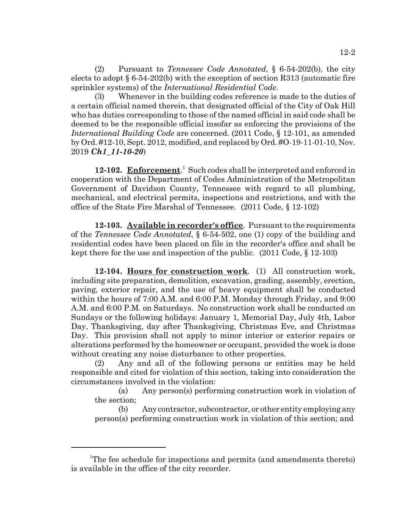(2) Pursuant to *Tennessee Code Annotated*, § 6-54-202(b), the city elects to adopt  $\S 6-54-202(b)$  with the exception of section R313 (automatic fire sprinkler systems) of the *International Residential Code*.

(3) Whenever in the building codes reference is made to the duties of a certain official named therein, that designated official of the City of Oak Hill who has duties corresponding to those of the named official in said code shall be deemed to be the responsible official insofar as enforcing the provisions of the *International Building Code* are concerned. (2011 Code, § 12-101, as amended by Ord. #12-10, Sept. 2012, modified, and replaced by Ord. #O-19-11-01-10, Nov. 2019 *Ch1\_11-10-20*)

12-102. Enforcement.<sup>1</sup> Such codes shall be interpreted and enforced in cooperation with the Department of Codes Administration of the Metropolitan Government of Davidson County, Tennessee with regard to all plumbing, mechanical, and electrical permits, inspections and restrictions, and with the office of the State Fire Marshal of Tennessee. (2011 Code, § 12-102)

**12-103. Available in recorder's office**. Pursuant to the requirements of the *Tennessee Code Annotated*, § 6-54-502, one (1) copy of the building and residential codes have been placed on file in the recorder's office and shall be kept there for the use and inspection of the public. (2011 Code, § 12-103)

**12-104. Hours for construction work**. (1) All construction work, including site preparation, demolition, excavation, grading, assembly, erection, paving, exterior repair, and the use of heavy equipment shall be conducted within the hours of 7:00 A.M. and 6:00 P.M. Monday through Friday, and 9:00 A.M. and 6:00 P.M. on Saturdays. No construction work shall be conducted on Sundays or the following holidays: January 1, Memorial Day, July 4th, Labor Day, Thanksgiving, day after Thanksgiving, Christmas Eve, and Christmas Day. This provision shall not apply to minor interior or exterior repairs or alterations performed by the homeowner or occupant, provided the work is done without creating any noise disturbance to other properties.

(2) Any and all of the following persons or entities may be held responsible and cited for violation of this section, taking into consideration the circumstances involved in the violation:

(a) Any person(s) performing construction work in violation of the section;

(b) Any contractor, subcontractor, or other entity employing any person(s) performing construction work in violation of this section; and

<sup>&</sup>lt;sup>1</sup>The fee schedule for inspections and permits (and amendments thereto) is available in the office of the city recorder.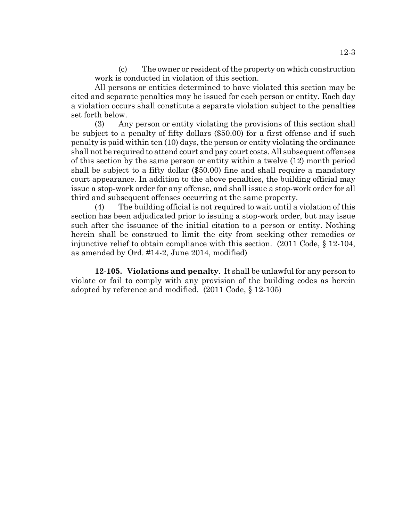(c) The owner or resident of the property on which construction work is conducted in violation of this section.

All persons or entities determined to have violated this section may be cited and separate penalties may be issued for each person or entity. Each day a violation occurs shall constitute a separate violation subject to the penalties set forth below.

(3) Any person or entity violating the provisions of this section shall be subject to a penalty of fifty dollars (\$50.00) for a first offense and if such penalty is paid within ten (10) days, the person or entity violating the ordinance shall not be required to attend court and pay court costs. All subsequent offenses of this section by the same person or entity within a twelve (12) month period shall be subject to a fifty dollar (\$50.00) fine and shall require a mandatory court appearance. In addition to the above penalties, the building official may issue a stop-work order for any offense, and shall issue a stop-work order for all third and subsequent offenses occurring at the same property.

(4) The building official is not required to wait until a violation of this section has been adjudicated prior to issuing a stop-work order, but may issue such after the issuance of the initial citation to a person or entity. Nothing herein shall be construed to limit the city from seeking other remedies or injunctive relief to obtain compliance with this section.  $(2011 \text{ Code}, \{8\} 12-104)$ , as amended by Ord. #14-2, June 2014, modified)

**12-105. Violations and penalty**. It shall be unlawful for any person to violate or fail to comply with any provision of the building codes as herein adopted by reference and modified. (2011 Code, § 12-105)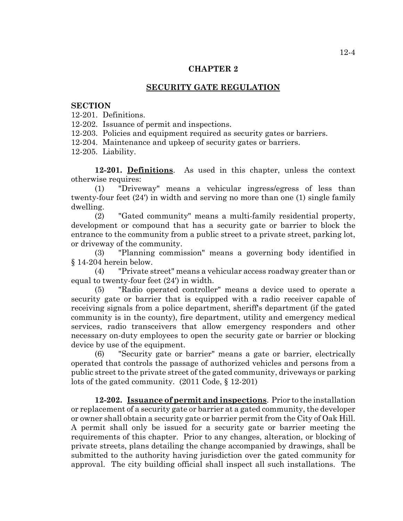## **CHAPTER 2**

# **SECURITY GATE REGULATION**

### **SECTION**

12-201. Definitions.

12-202. Issuance of permit and inspections.

12-203. Policies and equipment required as security gates or barriers.

12-204. Maintenance and upkeep of security gates or barriers.

12-205. Liability.

**12-201. Definitions**. As used in this chapter, unless the context otherwise requires:

(1) "Driveway" means a vehicular ingress/egress of less than twenty-four feet (24') in width and serving no more than one (1) single family dwelling.

(2) "Gated community" means a multi-family residential property, development or compound that has a security gate or barrier to block the entrance to the community from a public street to a private street, parking lot, or driveway of the community.

(3) "Planning commission" means a governing body identified in § 14-204 herein below.

(4) "Private street" means a vehicular access roadway greater than or equal to twenty-four feet (24') in width.

(5) "Radio operated controller" means a device used to operate a security gate or barrier that is equipped with a radio receiver capable of receiving signals from a police department, sheriff's department (if the gated community is in the county), fire department, utility and emergency medical services, radio transceivers that allow emergency responders and other necessary on-duty employees to open the security gate or barrier or blocking device by use of the equipment.

(6) "Security gate or barrier" means a gate or barrier, electrically operated that controls the passage of authorized vehicles and persons from a public street to the private street of the gated community, driveways or parking lots of the gated community. (2011 Code, § 12-201)

**12-202. Issuance of permit and inspections**. Prior to the installation or replacement of a security gate or barrier at a gated community, the developer or owner shall obtain a security gate or barrier permit from the City of Oak Hill. A permit shall only be issued for a security gate or barrier meeting the requirements of this chapter. Prior to any changes, alteration, or blocking of private streets, plans detailing the change accompanied by drawings, shall be submitted to the authority having jurisdiction over the gated community for approval. The city building official shall inspect all such installations. The